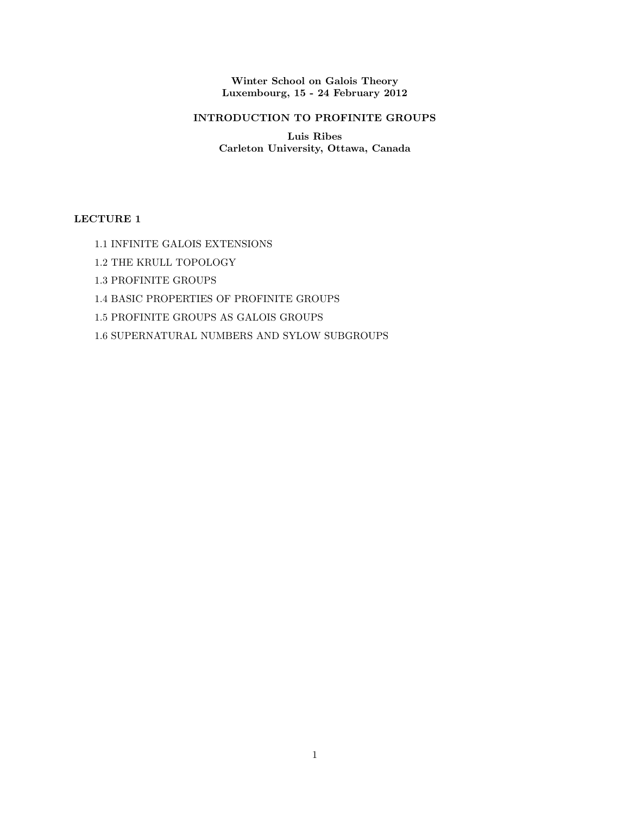Winter School on Galois Theory Luxembourg, 15 - 24 February 2012

# INTRODUCTION TO PROFINITE GROUPS

Luis Ribes Carleton University, Ottawa, Canada

# LECTURE 1

- 1.1 INFINITE GALOIS EXTENSIONS
- 1.2 THE KRULL TOPOLOGY
- 1.3 PROFINITE GROUPS
- 1.4 BASIC PROPERTIES OF PROFINITE GROUPS
- 1.5 PROFINITE GROUPS AS GALOIS GROUPS
- 1.6 SUPERNATURAL NUMBERS AND SYLOW SUBGROUPS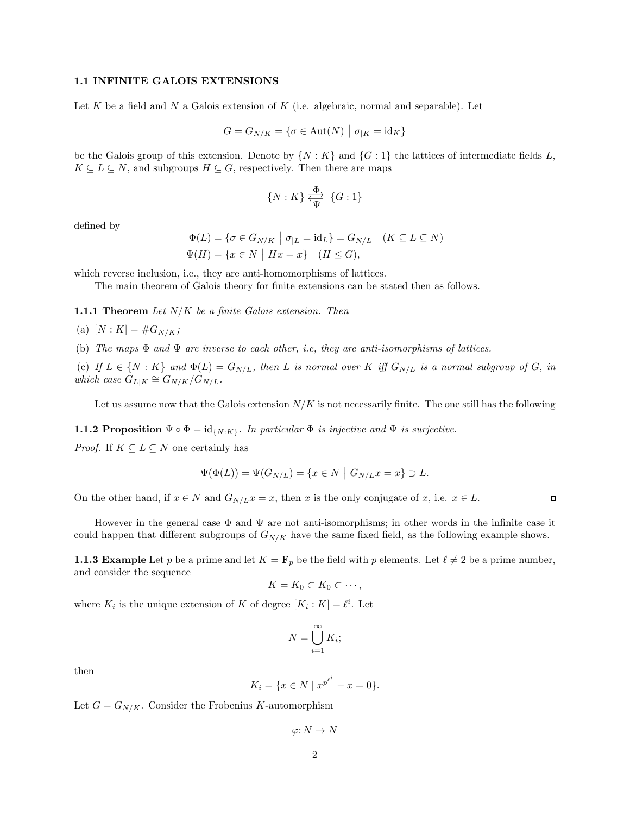#### 1.1 INFINITE GALOIS EXTENSIONS

Let  $K$  be a field and  $N$  a Galois extension of  $K$  (i.e. algebraic, normal and separable). Let

$$
G = G_{N/K} = \{ \sigma \in \text{Aut}(N) \mid \sigma_{|K} = \text{id}_K \}
$$

be the Galois group of this extension. Denote by  $\{N: K\}$  and  $\{G: 1\}$  the lattices of intermediate fields L,  $K \subseteq L \subseteq N$ , and subgroups  $H \subseteq G$ , respectively. Then there are maps

$$
\{N:K\} \xleftarrow{\Phi} \{G:1\}
$$

defined by

$$
\Phi(L) = \{ \sigma \in G_{N/K} \mid \sigma_{|L} = \text{id}_L \} = G_{N/L} \quad (K \subseteq L \subseteq N)
$$
  

$$
\Psi(H) = \{ x \in N \mid Hx = x \} \quad (H \le G),
$$

which reverse inclusion, i.e., they are anti-homomorphisms of lattices.

The main theorem of Galois theory for finite extensions can be stated then as follows.

**1.1.1 Theorem** Let  $N/K$  be a finite Galois extension. Then

(a) 
$$
[N:K] = #G_{N/K};
$$

(b) The maps  $\Phi$  and  $\Psi$  are inverse to each other, i.e, they are anti-isomorphisms of lattices.

(c) If  $L \in \{N : K\}$  and  $\Phi(L) = G_{N/L}$ , then L is normal over K iff  $G_{N/L}$  is a normal subgroup of G, in which case  $\ddot{G}_{L|K} \cong G_{N/K}/\dot{G}_{N/L}$ .

Let us assume now that the Galois extension  $N/K$  is not necessarily finite. The one still has the following

**1.1.2 Proposition**  $\Psi \circ \Phi = id_{\{N:K\}}$ . In particular  $\Phi$  is injective and  $\Psi$  is surjective.

*Proof.* If  $K \subseteq L \subseteq N$  one certainly has

$$
\Psi(\Phi(L)) = \Psi(G_{N/L}) = \{x \in N \mid G_{N/L}x = x\} \supset L.
$$

On the other hand, if  $x \in N$  and  $G_{N/L}x = x$ , then x is the only conjugate of x, i.e.  $x \in L$ .

 $\Box$ 

However in the general case Φ and Ψ are not anti-isomorphisms; in other words in the infinite case it could happen that different subgroups of  $G_{N/K}$  have the same fixed field, as the following example shows.

**1.1.3 Example** Let p be a prime and let  $K = \mathbf{F}_p$  be the field with p elements. Let  $\ell \neq 2$  be a prime number, and consider the sequence

$$
K=K_0\subset K_0\subset\cdots,
$$

where  $K_i$  is the unique extension of K of degree  $[K_i : K] = \ell^i$ . Let

$$
N = \bigcup_{i=1}^{\infty} K_i;
$$

then

$$
K_i = \{ x \in N \mid x^{p^{\ell^i}} - x = 0 \}.
$$

Let  $G = G_{N/K}$ . Consider the Frobenius K-automorphism

 $\varphi: N \to N$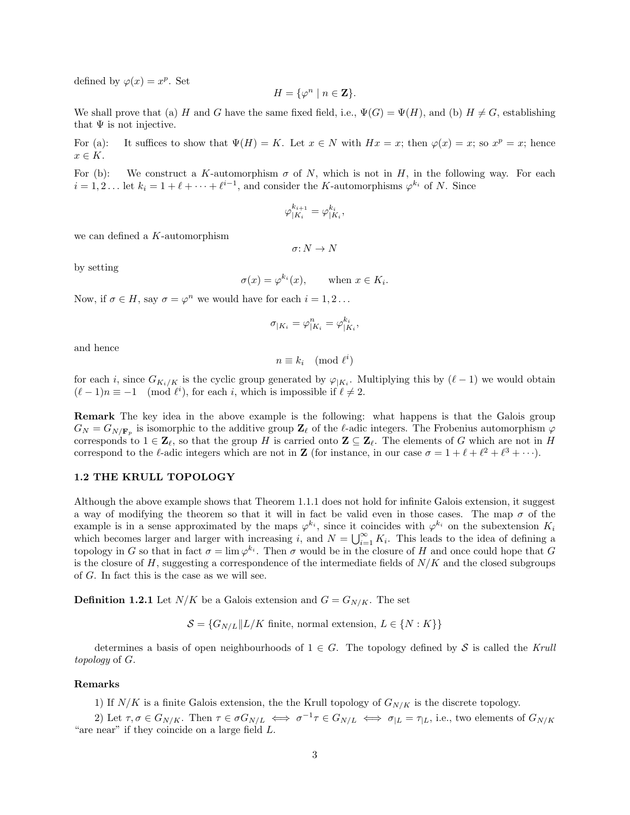defined by  $\varphi(x) = x^p$ . Set

$$
H = \{ \varphi^n \mid n \in \mathbf{Z} \}.
$$

We shall prove that (a) H and G have the same fixed field, i.e.,  $\Psi(G) = \Psi(H)$ , and (b)  $H \neq G$ , establishing that  $\Psi$  is not injective.

For (a): It suffices to show that  $\Psi(H) = K$ . Let  $x \in N$  with  $Hx = x$ ; then  $\varphi(x) = x$ ; so  $x^p = x$ ; hence  $x \in K$ .

For (b): We construct a K-automorphism  $\sigma$  of N, which is not in H, in the following way. For each  $i = 1, 2...$  let  $k_i = 1 + \ell + \cdots + \ell^{i-1}$ , and consider the K-automorphisms  $\varphi^{k_i}$  of N. Since

$$
\varphi_{|K_i}^{k_{i+1}} = \varphi_{|K_i}^{k_i},
$$

we can defined a K-automorphism

$$
\sigma\hbox{:}\ N\to N
$$

by setting

$$
\sigma(x) = \varphi^{k_i}(x), \quad \text{when } x \in K_i
$$

.

Now, if  $\sigma \in H$ , say  $\sigma = \varphi^n$  we would have for each  $i = 1, 2...$ 

$$
\sigma_{|K_i} = \varphi_{|K_i}^n = \varphi_{|K_i}^{k_i},
$$

and hence

$$
n \equiv k_i \pmod{\ell^i}
$$

for each i, since  $G_{K_i/K}$  is the cyclic group generated by  $\varphi_{|K_i}$ . Multiplying this by  $(\ell-1)$  we would obtain  $(\ell - 1)n \equiv -1 \pmod{\ell^i}$ , for each i, which is impossible if  $\ell \neq 2$ .

Remark The key idea in the above example is the following: what happens is that the Galois group  $G_N = G_{N/\mathbf{F}_p}$  is isomorphic to the additive group  $\mathbf{Z}_\ell$  of the  $\ell$ -adic integers. The Frobenius automorphism  $\varphi$ corresponds to  $1 \in \mathbb{Z}_{\ell}$ , so that the group H is carried onto  $\mathbb{Z} \subseteq \mathbb{Z}_{\ell}$ . The elements of G which are not in H correspond to the  $\ell$ -adic integers which are not in **Z** (for instance, in our case  $\sigma = 1 + \ell + \ell^2 + \ell^3 + \cdots$ ).

#### 1.2 THE KRULL TOPOLOGY

Although the above example shows that Theorem 1.1.1 does not hold for infinite Galois extension, it suggest a way of modifying the theorem so that it will in fact be valid even in those cases. The map  $\sigma$  of the example is in a sense approximated by the maps  $\varphi^{k_i}$ , since it coincides with  $\varphi^{k_i}$  on the subextension  $K_i$ which becomes larger and larger with increasing i, and  $N = \bigcup_{i=1}^{\infty} K_i$ . This leads to the idea of defining a topology in G so that in fact  $\sigma = \lim \varphi^{k_i}$ . Then  $\sigma$  would be in the closure of H and once could hope that G is the closure of H, suggesting a correspondence of the intermediate fields of  $N/K$  and the closed subgroups of G. In fact this is the case as we will see.

**Definition 1.2.1** Let  $N/K$  be a Galois extension and  $G = G_{N/K}$ . The set

 $\mathcal{S} = \{G_{N/L}||L/K \text{ finite, normal extension, } L \in \{N:K\}\}\$ 

determines a basis of open neighbourhoods of  $1 \in G$ . The topology defined by S is called the Krull topology of G.

#### Remarks

1) If  $N/K$  is a finite Galois extension, the the Krull topology of  $G_{N/K}$  is the discrete topology.

2) Let  $\tau, \sigma \in G_{N/K}$ . Then  $\tau \in \sigma G_{N/L} \iff \sigma^{-1} \tau \in G_{N/L} \iff \sigma_{|L|} = \tau_{|L|}$ , i.e., two elements of  $G_{N/K}$ "are near" if they coincide on a large field  $L$ .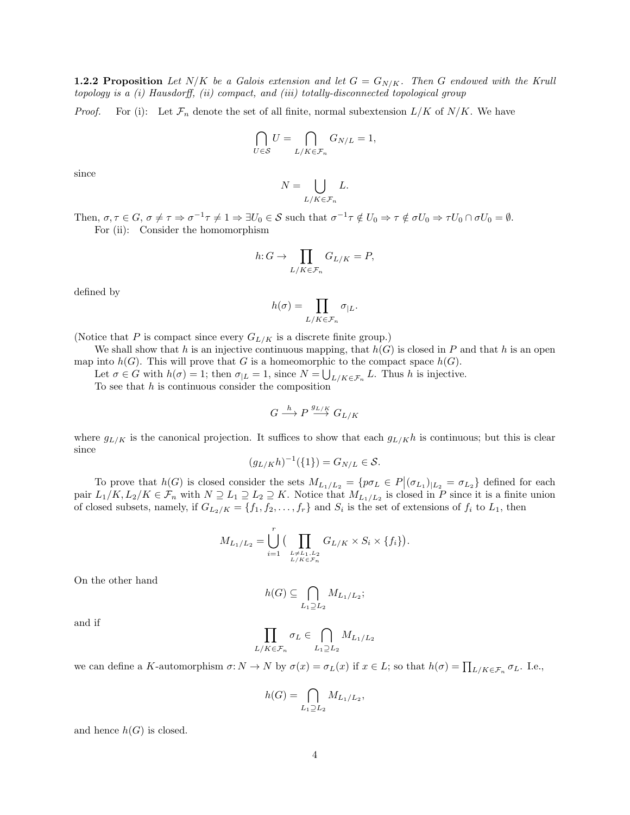**1.2.2 Proposition** Let N/K be a Galois extension and let  $G = G_{N/K}$ . Then G endowed with the Krull topology is a (i) Hausdorff, (ii) compact, and (iii) totally-disconnected topological group

*Proof.* For (i): Let  $\mathcal{F}_n$  denote the set of all finite, normal subextension  $L/K$  of  $N/K$ . We have

$$
\bigcap_{U \in \mathcal{S}} U = \bigcap_{L/K \in \mathcal{F}_n} G_{N/L} = 1,
$$

since

$$
N = \bigcup_{L/K \in \mathcal{F}_n} L.
$$

Then,  $\sigma, \tau \in G$ ,  $\sigma \neq \tau \Rightarrow \sigma^{-1} \tau \neq 1 \Rightarrow \exists U_0 \in S$  such that  $\sigma^{-1} \tau \notin U_0 \Rightarrow \tau \notin \sigma U_0 \Rightarrow \tau U_0 \cap \sigma U_0 = \emptyset$ . For (ii): Consider the homomorphism

$$
h: G \to \prod_{L/K \in \mathcal{F}_n} G_{L/K} = P,
$$

defined by

$$
h(\sigma)=\prod_{L/K\in\mathcal{F}_n}\sigma_{|L}.
$$

(Notice that P is compact since every  $G_{L/K}$  is a discrete finite group.)

We shall show that h is an injective continuous mapping, that  $h(G)$  is closed in P and that h is an open map into  $h(G)$ . This will prove that G is a homeomorphic to the compact space  $h(G)$ .

Let  $\sigma \in G$  with  $h(\sigma) = 1$ ; then  $\sigma_{|L} = 1$ , since  $N = \bigcup_{L/K \in \mathcal{F}_n} L$ . Thus h is injective.

To see that  $h$  is continuous consider the composition

$$
G\stackrel{h}{\longrightarrow}P\stackrel{g_{L/K}}{\longrightarrow}G_{L/K}
$$

where  $g_{L/K}$  is the canonical projection. It suffices to show that each  $g_{L/K}$ h is continuous; but this is clear since

$$
(g_{L/K}h)^{-1}(\{1\}) = G_{N/L} \in \mathcal{S}.
$$

To prove that  $h(G)$  is closed consider the sets  $M_{L_1/L_2} = \{p\sigma_L \in P | (\sigma_{L_1})_{L_2} = \sigma_{L_2}\}\$  defined for each pair  $L_1/K, L_2/K \in \mathcal{F}_n$  with  $N \supseteq L_1 \supseteq L_2 \supseteq K$ . Notice that  $M_{L_1/L_2}$  is closed in P since it is a finite union of closed subsets, namely, if  $G_{L_2/K} = \{f_1, f_2, \ldots, f_r\}$  and  $S_i$  is the set of extensions of  $f_i$  to  $L_1$ , then

$$
M_{L_1/L_2} = \bigcup_{i=1}^r \big(\prod_{\stackrel{L \neq L_1,L_2}{L/K \in \mathcal{F}_n}} G_{L/K} \times S_i \times \{f_i\}\big).
$$

On the other hand

$$
h(G) \subseteq \bigcap_{L_1 \supseteq L_2} M_{L_1/L_2};
$$

and if

$$
\prod_{L/K \in \mathcal{F}_n} \sigma_L \in \bigcap_{L_1 \supseteq L_2} M_{L_1/L_2}
$$

we can define a K-automorphism  $\sigma: N \to N$  by  $\sigma(x) = \sigma_L(x)$  if  $x \in L$ ; so that  $h(\sigma) = \prod_{L/K \in \mathcal{F}_n} \sigma_L$ . I.e.,

$$
h(G) = \bigcap_{L_1 \supseteq L_2} M_{L_1/L_2},
$$

and hence  $h(G)$  is closed.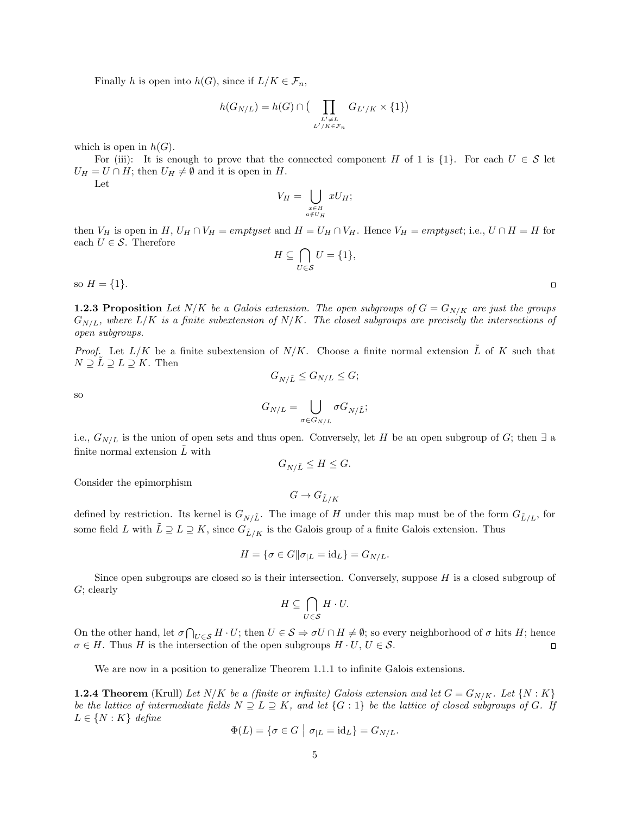Finally h is open into  $h(G)$ , since if  $L/K \in \mathcal{F}_n$ ,

$$
h(G_{N/L}) = h(G) \cap \big( \prod_{\substack{L' \neq L \\ L'/K \in \mathcal{F}_n}} G_{L'/K} \times \{1\} \big)
$$

which is open in  $h(G)$ .

For (iii): It is enough to prove that the connected component H of 1 is  $\{1\}$ . For each  $U \in \mathcal{S}$  let  $U_H = U \cap H$ ; then  $U_H \neq \emptyset$  and it is open in H. Let

$$
V_H = \bigcup_{\substack{x \in H \\ a \notin U_H}} xU_H;
$$

then  $V_H$  is open in H,  $U_H \cap V_H = emptyset$  and  $H = U_H \cap V_H$ . Hence  $V_H = emptyset$ ; i.e.,  $U \cap H = H$  for each  $U \in \mathcal{S}$ . Therefore

$$
H \subseteq \bigcap_{U \in \mathcal{S}} U = \{1\},\
$$

so  $H = \{1\}.$ 

**1.2.3 Proposition** Let N/K be a Galois extension. The open subgroups of  $G = G_{N/K}$  are just the groups  $G_{N/L}$ , where  $L/K$  is a finite subextension of  $N/K$ . The closed subgroups are precisely the intersections of open subgroups.

*Proof.* Let  $L/K$  be a finite subextension of  $N/K$ . Choose a finite normal extension  $\tilde{L}$  of K such that  $N \supseteq L \supseteq L \supseteq K$ . Then  $G_{N/\tilde{L}} \leq G_{N/L} \leq G;$ 

so

$$
G_{N/L} = \bigcup_{\sigma \in G_{N/L}} \sigma G_{N/\tilde{L}};
$$

i.e.,  $G_{N/L}$  is the union of open sets and thus open. Conversely, let H be an open subgroup of G; then  $\exists$  a finite normal extension  $\tilde{L}$  with

$$
G_{N/\tilde{L}} \le H \le G.
$$

Consider the epimorphism

 $G \to G_{\tilde{L}/K}$ 

defined by restriction. Its kernel is  $G_{N/\tilde{L}}$ . The image of H under this map must be of the form  $G_{\tilde{L}/L}$ , for some field L with  $\tilde{L} \supseteq L \supseteq K$ , since  $G_{\tilde{L}/K}$  is the Galois group of a finite Galois extension. Thus

$$
H = \{ \sigma \in G \|\sigma_{|L} = \mathrm{id}_L \} = G_{N/L}.
$$

Since open subgroups are closed so is their intersection. Conversely, suppose  $H$  is a closed subgroup of  $G$ ; clearly

$$
H \subseteq \bigcap_{U \in \mathcal{S}} H \cdot U.
$$

On the other hand, let  $\sigma \bigcap_{U \in \mathcal{S}} H \cdot U$ ; then  $U \in \mathcal{S} \Rightarrow \sigma U \cap H \neq \emptyset$ ; so every neighborhood of  $\sigma$  hits H; hence  $\sigma \in H$ . Thus H is the intersection of the open subgroups  $H \cdot U$ ,  $U \in \mathcal{S}$ .  $\Box$ 

We are now in a position to generalize Theorem 1.1.1 to infinite Galois extensions.

**1.2.4 Theorem** (Krull) Let  $N/K$  be a (finite or infinite) Galois extension and let  $G = G_{N/K}$ . Let  $\{N: K\}$ be the lattice of intermediate fields  $N \supseteq L \supseteq K$ , and let  $\{G:1\}$  be the lattice of closed subgroups of G. If  $L \in \{N : K\}$  define

$$
\Phi(L) = \{ \sigma \in G \mid \sigma_{|L} = \mathrm{id}_L \} = G_{N/L}.
$$

 $\Box$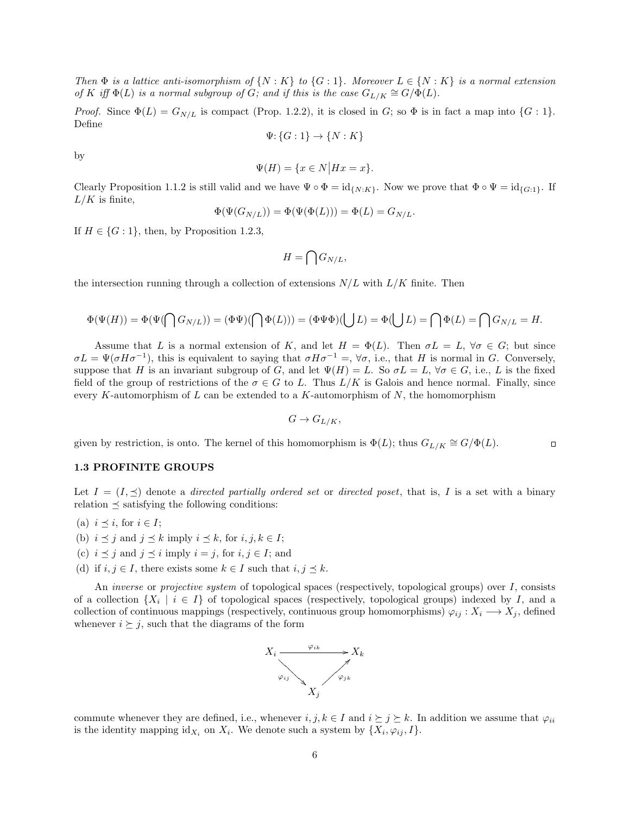Then  $\Phi$  is a lattice anti-isomorphism of  $\{N: K\}$  to  $\{G: 1\}$ . Moreover  $L \in \{N: K\}$  is a normal extension of K iff  $\Phi(L)$  is a normal subgroup of G; and if this is the case  $G_{L/K} \cong G/\Phi(L)$ .

*Proof.* Since  $\Phi(L) = G_{N/L}$  is compact (Prop. 1.2.2), it is closed in G; so  $\Phi$  is in fact a map into  $\{G: 1\}$ . Define

$$
\Psi\colon\!\{G:1\}\to\{N:K\}
$$

by

$$
\Psi(H) = \{ x \in N | Hx = x \}.
$$

Clearly Proposition 1.1.2 is still valid and we have  $\Psi \circ \Phi = id_{\{N:K\}}$ . Now we prove that  $\Phi \circ \Psi = id_{\{G:1\}}$ . If  $L/K$  is finite,

$$
\Phi(\Psi(G_{N/L})) = \Phi(\Psi(\Phi(L))) = \Phi(L) = G_{N/L}.
$$

If  $H \in \{G:1\}$ , then, by Proposition 1.2.3,

$$
H=\bigcap G_{N/L},
$$

the intersection running through a collection of extensions  $N/L$  with  $L/K$  finite. Then

$$
\Phi(\Psi(H))=\Phi(\Psi(\bigcap G_{N/L}))=(\Phi\Psi)(\bigcap \Phi(L)))=(\Phi\Psi\Phi)(\bigcup L)=\Phi(\bigcup L)=\bigcap \Phi(L)=\bigcap G_{N/L}=H.
$$

Assume that L is a normal extension of K, and let  $H = \Phi(L)$ . Then  $\sigma L = L$ ,  $\forall \sigma \in G$ ; but since  $\sigma L = \Psi(\sigma H \sigma^{-1})$ , this is equivalent to saying that  $\sigma H \sigma^{-1} = \nabla \sigma$ , i.e., that H is normal in G. Conversely, suppose that H is an invariant subgroup of G, and let  $\Psi(H) = L$ . So  $\sigma L = L$ ,  $\forall \sigma \in G$ , i.e., L is the fixed field of the group of restrictions of the  $\sigma \in G$  to L. Thus  $L/K$  is Galois and hence normal. Finally, since every K-automorphism of  $L$  can be extended to a K-automorphism of  $N$ , the homomorphism

$$
G \to G_{L/K},
$$

 $\Box$ 

given by restriction, is onto. The kernel of this homomorphism is  $\Phi(L)$ ; thus  $G_{L/K} \cong G/\Phi(L)$ .

#### 1.3 PROFINITE GROUPS

Let  $I = (I, \preceq)$  denote a *directed partially ordered set* or *directed poset*, that is, I is a set with a binary relation  $\prec$  satisfying the following conditions:

- (a)  $i \preceq i$ , for  $i \in I$ ;
- (b)  $i \preceq j$  and  $j \preceq k$  imply  $i \preceq k$ , for  $i, j, k \in I$ ;
- (c)  $i \leq j$  and  $j \leq i$  imply  $i = j$ , for  $i, j \in I$ ; and
- (d) if  $i, j \in I$ , there exists some  $k \in I$  such that  $i, j \preceq k$ .

An *inverse* or *projective system* of topological spaces (respectively, topological groups) over I, consists of a collection  $\{X_i \mid i \in I\}$  of topological spaces (respectively, topological groups) indexed by I, and a collection of continuous mappings (respectively, continuous group homomorphisms)  $\varphi_{ij} : X_i \longrightarrow X_j$ , defined whenever  $i \succeq j$ , such that the diagrams of the form



commute whenever they are defined, i.e., whenever  $i, j, k \in I$  and  $i \succeq j \succeq k$ . In addition we assume that  $\varphi_{ii}$ is the identity mapping  $id_{X_i}$  on  $X_i$ . We denote such a system by  $\{X_i, \varphi_{ij}, I\}$ .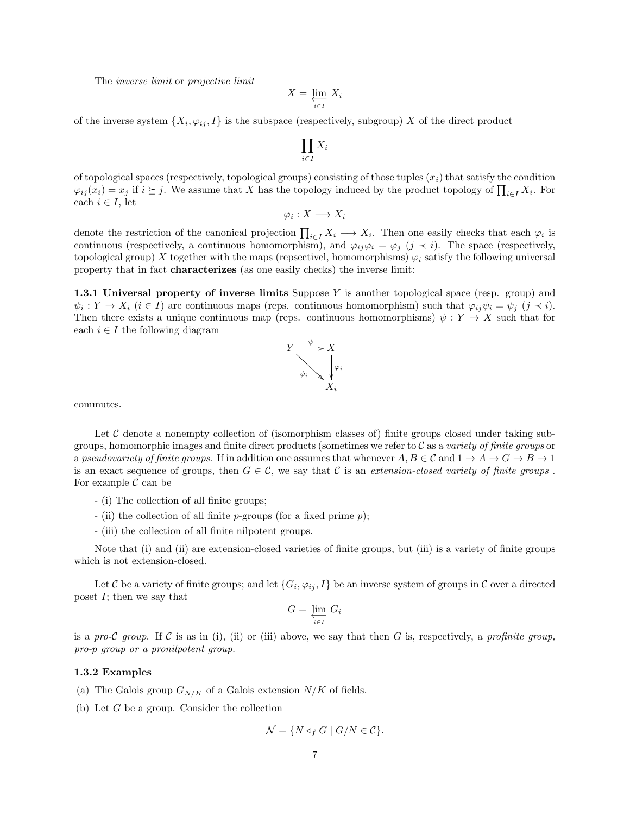The inverse limit or projective limit

$$
X = \varprojlim_{i \in I} X_i
$$

 $\Pi$ i∈I  $X_i$ 

of the inverse system  $\{X_i, \varphi_{ij}, I\}$  is the subspace (respectively, subgroup) X of the direct product

of topological spaces (respectively, topological groups) consisting of those tuples 
$$
(x_i)
$$
 that satisfy the condition  $\varphi_{ij}(x_i) = x_j$  if  $i \succeq j$ . We assume that X has the topology induced by the product topology of  $\prod_{i \in I} X_i$ . For each  $i \in I$ , let

 $\varphi_i:X\longrightarrow X_i$ 

denote the restriction of the canonical projection  $\prod_{i\in I} X_i \longrightarrow X_i$ . Then one easily checks that each  $\varphi_i$  is continuous (respectively, a continuous homomorphism), and  $\varphi_{ij}\varphi_i = \varphi_j$  ( $j \prec i$ ). The space (respectively, topological group) X together with the maps (repsectivel, homomorphisms)  $\varphi_i$  satisfy the following universal property that in fact characterizes (as one easily checks) the inverse limit:

**1.3.1 Universal property of inverse limits** Suppose  $Y$  is another topological space (resp. group) and  $\psi_i: Y \to X_i \ (i \in I)$  are continuous maps (reps. continuous homomorphism) such that  $\varphi_{ij}\psi_i = \psi_j \ (j \prec i)$ . Then there exists a unique continuous map (reps. continuous homomorphisms)  $\psi: Y \to X$  such that for each  $i \in I$  the following diagram



commutes.

Let  $\mathcal C$  denote a nonempty collection of (isomorphism classes of) finite groups closed under taking subgroups, homomorphic images and finite direct products (sometimes we refer to  $C$  as a variety of finite groups or a pseudovariety of finite groups. If in addition one assumes that whenever  $A, B \in \mathcal{C}$  and  $1 \to A \to G \to B \to 1$ is an exact sequence of groups, then  $G \in \mathcal{C}$ , we say that C is an extension-closed variety of finite groups. For example  $\mathcal C$  can be

- (i) The collection of all finite groups;
- (ii) the collection of all finite  $p$ -groups (for a fixed prime  $p$ );
- (iii) the collection of all finite nilpotent groups.

Note that (i) and (ii) are extension-closed varieties of finite groups, but (iii) is a variety of finite groups which is not extension-closed.

Let  $C$  be a variety of finite groups; and let  $\{G_i,\varphi_{ij},I\}$  be an inverse system of groups in  $C$  over a directed poset  $I$ ; then we say that

$$
G = \varprojlim_{i \in I} G_i
$$

is a pro-C group. If C is as in (i), (ii) or (iii) above, we say that then G is, respectively, a profinite group, pro-p group or a pronilpotent group.

#### 1.3.2 Examples

- (a) The Galois group  $G_{N/K}$  of a Galois extension  $N/K$  of fields.
- (b) Let G be a group. Consider the collection

$$
\mathcal{N} = \{ N \triangleleft_f G \mid G/N \in \mathcal{C} \}.
$$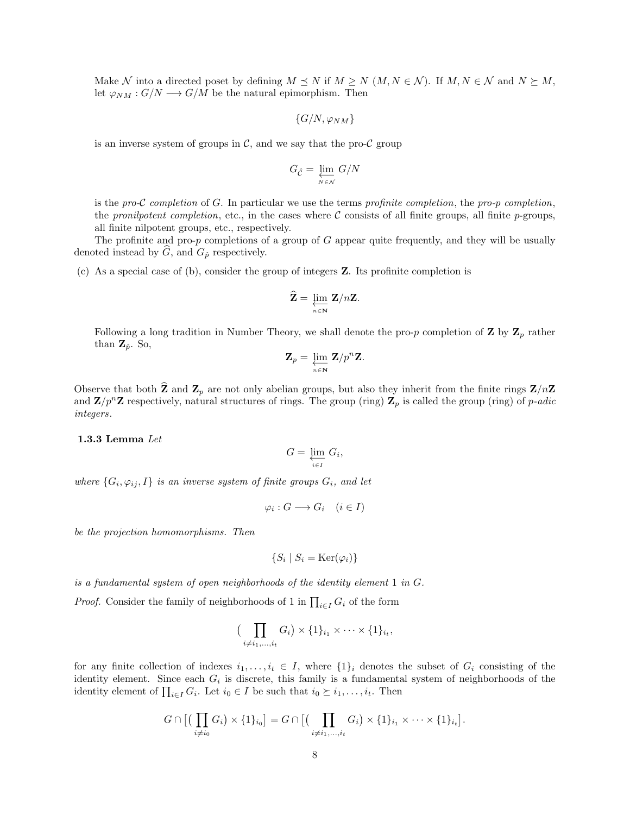Make N into a directed poset by defining  $M \preceq N$  if  $M \geq N$   $(M, N \in \mathcal{N})$ . If  $M, N \in \mathcal{N}$  and  $N \succeq M$ , let  $\varphi_{NM}: G/N \longrightarrow G/M$  be the natural epimorphism. Then

$$
\{G/N,\varphi_{NM}\}
$$

is an inverse system of groups in  $\mathcal{C}$ , and we say that the pro- $\mathcal{C}$  group

$$
G_{\hat{\mathcal{C}}} = \varprojlim_{N \in \mathcal{N}} G/N
$$

is the pro-C completion of G. In particular we use the terms profinite completion, the pro-p completion, the pronilpotent completion, etc., in the cases where  $\mathcal C$  consists of all finite groups, all finite p-groups, all finite nilpotent groups, etc., respectively.

The profinite and pro- $p$  completions of a group of  $G$  appear quite frequently, and they will be usually denoted instead by  $\tilde{G}$ , and  $G_{\hat{p}}$  respectively.

(c) As a special case of (b), consider the group of integers Z. Its profinite completion is

$$
\widehat{\mathbf{Z}} = \varprojlim_{n \in \mathbf{N}} \mathbf{Z}/n\mathbf{Z}.
$$

Following a long tradition in Number Theory, we shall denote the pro-p completion of **Z** by  $\mathbf{Z}_p$  rather than  $\mathbf{Z}_{\hat{p}}$ . So,

$$
\mathbf{Z}_p = \underbrace{\lim_{n \in \mathbf{N}} \mathbf{Z}}_p^n \mathbf{Z}.
$$

Observe that both  $\bar{Z}$  and  $Z_p$  are not only abelian groups, but also they inherit from the finite rings  $\bar{Z}/n\bar{Z}$ and  $\mathbf{Z}/p^n\mathbf{Z}$  respectively, natural structures of rings. The group (ring)  $\mathbf{Z}_p$  is called the group (ring) of p-adic integers.

## 1.3.3 Lemma Let

$$
G=\varprojlim_{i\in I} G_i,
$$

where  $\{G_i, \varphi_{ij}, I\}$  is an inverse system of finite groups  $G_i$ , and let

$$
\varphi_i : G \longrightarrow G_i \quad (i \in I)
$$

be the projection homomorphisms. Then

$$
\{S_i \mid S_i = \text{Ker}(\varphi_i)\}\
$$

is a fundamental system of open neighborhoods of the identity element  $1$  in  $G$ .

*Proof.* Consider the family of neighborhoods of 1 in  $\prod_{i \in I} G_i$  of the form

$$
\big(\prod_{i\neq i_1,\dots,i_t} G_i\big) \times \{1\}_{i_1} \times \dots \times \{1\}_{i_t},
$$

for any finite collection of indexes  $i_1, \ldots, i_t \in I$ , where  $\{1\}_i$  denotes the subset of  $G_i$  consisting of the identity element. Since each  $G_i$  is discrete, this family is a fundamental system of neighborhoods of the identity element of  $\prod_{i \in I} G_i$ . Let  $i_0 \in I$  be such that  $i_0 \succeq i_1, \ldots, i_t$ . Then

$$
G\cap\big[\big(\prod_{i\neq i_0}G_i\big)\times\{1\}_{i_0}\big]=G\cap\big[\big(\prod_{i\neq i_1,\dots,i_t}G_i\big)\times\{1\}_{i_1}\times\cdots\times\{1\}_{i_t}\big].
$$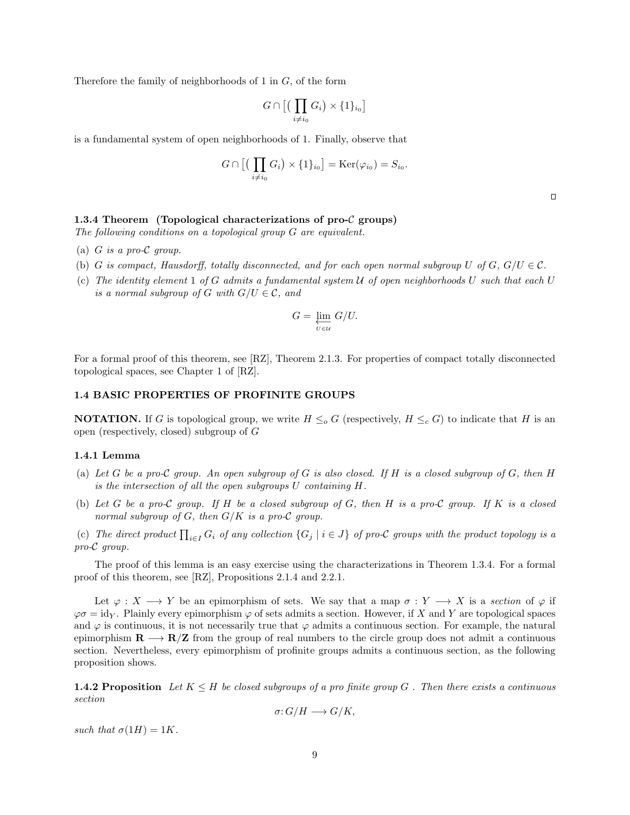Therefore the family of neighborhoods of 1 in G, of the form

$$
G\cap\big[\big(\prod_{i\neq i_0}G_i\big)\times\{1\}_{i_0}\big]
$$

is a fundamental system of open neighborhoods of 1. Finally, observe that

$$
G \cap \left[ \left( \prod_{i \neq i_0} G_i \right) \times \{1\}_{i_0} \right] = \text{Ker}(\varphi_{i_0}) = S_{i_0}.
$$

## 1.3.4 Theorem (Topological characterizations of pro- $\mathcal C$  groups)

The following conditions on a topological group G are equivalent.

- (a)  $G$  is a pro- $\mathcal C$  group.
- (b) G is compact, Hausdorff, totally disconnected, and for each open normal subgroup U of G,  $G/U \in \mathcal{C}$ .
- (c) The identity element  $1 \text{ of } G$  admits a fundamental system  $U$  of open neighborhoods  $U$  such that each  $U$ is a normal subgroup of G with  $G/U \in \mathcal{C}$ , and

$$
G = \varprojlim_{U \in \mathcal{U}} G/U.
$$

For a formal proof of this theorem, see [RZ], Theorem 2.1.3. For properties of compact totally disconnected topological spaces, see Chapter 1 of [RZ].

#### 1.4 BASIC PROPERTIES OF PROFINITE GROUPS

**NOTATION.** If G is topological group, we write  $H \leq_o G$  (respectively,  $H \leq_c G$ ) to indicate that H is an open (respectively, closed) subgroup of G

#### 1.4.1 Lemma

- (a) Let G be a pro-C group. An open subgroup of G is also closed. If H is a closed subgroup of G, then H is the intersection of all the open subgroups U containing H.
- (b) Let G be a pro-C group. If H be a closed subgroup of G, then H is a pro-C group. If K is a closed normal subgroup of G, then  $G/K$  is a pro-C group.
- (c) The direct product  $\prod_{i\in I} G_i$  of any collection  $\{G_j \mid i\in J\}$  of pro-C groups with the product topology is a pro-C group.

The proof of this lemma is an easy exercise using the characterizations in Theorem 1.3.4. For a formal proof of this theorem, see [RZ], Propositions 2.1.4 and 2.2.1.

Let  $\varphi: X \longrightarrow Y$  be an epimorphism of sets. We say that a map  $\sigma: Y \longrightarrow X$  is a section of  $\varphi$  if  $\varphi \sigma = \text{id}_Y$ . Plainly every epimorphism  $\varphi$  of sets admits a section. However, if X and Y are topological spaces and  $\varphi$  is continuous, it is not necessarily true that  $\varphi$  admits a continuous section. For example, the natural epimorphism  $\mathbf{R} \longrightarrow \mathbf{R}/\mathbf{Z}$  from the group of real numbers to the circle group does not admit a continuous section. Nevertheless, every epimorphism of profinite groups admits a continuous section, as the following proposition shows.

**1.4.2 Proposition** Let  $K \leq H$  be closed subgroups of a pro finite group G. Then there exists a continuous section

$$
\sigma: G/H \longrightarrow G/K,
$$

such that  $\sigma(1H) = 1K$ .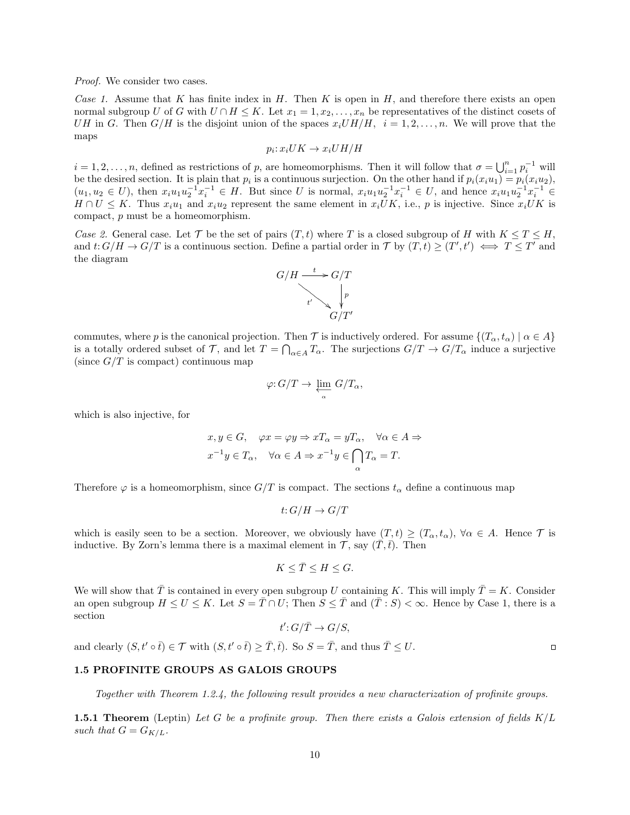Proof. We consider two cases.

Case 1. Assume that K has finite index in H. Then K is open in H, and therefore there exists an open normal subgroup U of G with  $U \cap H \leq K$ . Let  $x_1 = 1, x_2, \ldots, x_n$  be representatives of the distinct cosets of UH in G. Then G/H is the disjoint union of the spaces  $x_i U H/H$ ,  $i = 1, 2, \ldots, n$ . We will prove that the maps

$$
p_i: x_i UK \to x_i U H/H
$$

 $i = 1, 2, \ldots, n$ , defined as restrictions of p, are homeomorphisms. Then it will follow that  $\sigma = \bigcup_{i=1}^{n} p_i^{-1}$  will be the desired section. It is plain that  $p_i$  is a continuous surjection. On the other hand if  $p_i(x_iu_1) = p_i(x_iu_2)$ ,  $(u_1, u_2 \in U)$ , then  $x_i u_1 u_2^{-1} x_i^{-1} \in H$ . But since U is normal,  $x_i u_1 u_2^{-1} x_i^{-1} \in U$ , and hence  $x_i u_1 u_2^{-1} x_i^{-1} \in$  $H \cap U \leq K$ . Thus  $x_iu_1$  and  $x_iu_2$  represent the same element in  $x_i\overline{U}K$ , i.e., p is injective. Since  $x_i\overline{U}K$  is compact, p must be a homeomorphism.

Case 2. General case. Let T be the set of pairs  $(T, t)$  where T is a closed subgroup of H with  $K \leq T \leq H$ , and  $t: G/H \to G/T$  is a continuous section. Define a partial order in T by  $(T,t) \ge (T',t') \iff T \le T'$  and the diagram



commutes, where p is the canonical projection. Then T is inductively ordered. For assume  $\{(T_{\alpha}, t_{\alpha}) \mid \alpha \in A\}$ is a totally ordered subset of T, and let  $T = \bigcap_{\alpha \in A} T_\alpha$ . The surjections  $G/T \to G/T_\alpha$  induce a surjective (since  $G/T$  is compact) continuous map

$$
\varphi: G/T \to \varprojlim_{\alpha} G/T_{\alpha},
$$

which is also injective, for

$$
x, y \in G, \quad \varphi x = \varphi y \Rightarrow xT_{\alpha} = yT_{\alpha}, \quad \forall \alpha \in A \Rightarrow x^{-1}y \in T_{\alpha}, \quad \forall \alpha \in A \Rightarrow x^{-1}y \in \bigcap_{\alpha} T_{\alpha} = T.
$$

Therefore  $\varphi$  is a homeomorphism, since  $G/T$  is compact. The sections  $t_{\alpha}$  define a continuous map

$$
t: G/H \to G/T
$$

which is easily seen to be a section. Moreover, we obviously have  $(T, t) \ge (T_{\alpha}, t_{\alpha})$ ,  $\forall \alpha \in A$ . Hence  $\mathcal T$  is inductive. By Zorn's lemma there is a maximal element in  $\mathcal{T}$ , say  $(\overline{T}, \overline{t})$ . Then

$$
K \leq \bar{T} \leq H \leq G.
$$

We will show that  $\overline{T}$  is contained in every open subgroup U containing K. This will imply  $\overline{T} = K$ . Consider an open subgroup  $H \le U \le K$ . Let  $S = \overline{T} \cap U$ ; Then  $S \le \overline{T}$  and  $(\overline{T} : S) < \infty$ . Hence by Case 1, there is a section

$$
t': G/\bar{T} \to G/S,
$$

and clearly  $(S, t' \circ \overline{t}) \in \mathcal{T}$  with  $(S, t' \circ \overline{t}) > \overline{T}, \overline{t})$ . So  $S = \overline{T}$ , and thus  $\overline{T} \leq U$ .

# 1.5 PROFINITE GROUPS AS GALOIS GROUPS

Together with Theorem 1.2.4, the following result provides a new characterization of profinite groups.

**1.5.1 Theorem** (Leptin) Let G be a profinite group. Then there exists a Galois extension of fields  $K/L$ such that  $G = G_{K/L}$ .

 $\Box$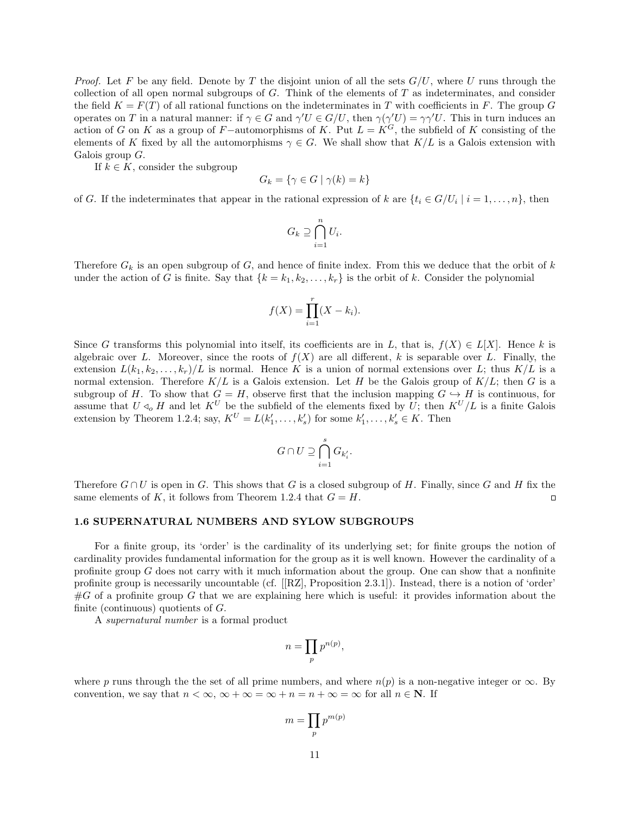*Proof.* Let F be any field. Denote by T the disjoint union of all the sets  $G/U$ , where U runs through the collection of all open normal subgroups of  $G$ . Think of the elements of  $T$  as indeterminates, and consider the field  $K = F(T)$  of all rational functions on the indeterminates in T with coefficients in F. The group G operates on T in a natural manner: if  $\gamma \in G$  and  $\gamma'U \in G/U$ , then  $\gamma(\gamma'U) = \gamma \gamma'U$ . This in turn induces an action of G on K as a group of F−automorphisms of K. Put  $L = K^G$ , the subfield of K consisting of the elements of K fixed by all the automorphisms  $\gamma \in G$ . We shall show that  $K/L$  is a Galois extension with Galois group  $G$ .

If  $k \in K$ , consider the subgroup

$$
G_k = \{ \gamma \in G \mid \gamma(k) = k \}
$$

of G. If the indeterminates that appear in the rational expression of k are  $\{t_i \in G/U_i \mid i = 1, \ldots, n\}$ , then

$$
G_k \supseteq \bigcap_{i=1}^n U_i.
$$

Therefore  $G_k$  is an open subgroup of G, and hence of finite index. From this we deduce that the orbit of k under the action of G is finite. Say that  $\{k = k_1, k_2, \ldots, k_r\}$  is the orbit of k. Consider the polynomial

$$
f(X) = \prod_{i=1}^{r} (X - k_i).
$$

Since G transforms this polynomial into itself, its coefficients are in L, that is,  $f(X) \in L[X]$ . Hence k is algebraic over L. Moreover, since the roots of  $f(X)$  are all different, k is separable over L. Finally, the extension  $L(k_1, k_2, \ldots, k_r)/L$  is normal. Hence K is a union of normal extensions over L; thus  $K/L$  is a normal extension. Therefore  $K/L$  is a Galois extension. Let H be the Galois group of  $K/L$ ; then G is a subgroup of H. To show that  $G = H$ , observe first that the inclusion mapping  $G \hookrightarrow H$  is continuous, for assume that  $U \triangleleft_{o} H$  and let  $K^U$  be the subfield of the elements fixed by U; then  $K^U/L$  is a finite Galois extension by Theorem 1.2.4; say,  $K^U = L(k'_1, \ldots, k'_s)$  for some  $k'_1, \ldots, k'_s \in K$ . Then

$$
G\cap U\supseteq \bigcap_{i=1}^s G_{k'_i}.
$$

Therefore  $G \cap U$  is open in G. This shows that G is a closed subgroup of H. Finally, since G and H fix the same elements of K, it follows from Theorem 1.2.4 that  $G = H$ .  $\Box$ 

#### 1.6 SUPERNATURAL NUMBERS AND SYLOW SUBGROUPS

For a finite group, its 'order' is the cardinality of its underlying set; for finite groups the notion of cardinality provides fundamental information for the group as it is well known. However the cardinality of a profinite group  $G$  does not carry with it much information about the group. One can show that a nonfinite profinite group is necessarily uncountable (cf. [[RZ], Proposition 2.3.1]). Instead, there is a notion of 'order'  $\#G$  of a profinite group G that we are explaining here which is useful: it provides information about the finite (continuous) quotients of  $G$ .

A supernatural number is a formal product

$$
n = \prod_p p^{n(p)},
$$

where p runs through the the set of all prime numbers, and where  $n(p)$  is a non-negative integer or  $\infty$ . By convention, we say that  $n < \infty$ ,  $\infty + \infty = \infty + n = n + \infty = \infty$  for all  $n \in \mathbb{N}$ . If

$$
m=\prod_p p^{m(p)}
$$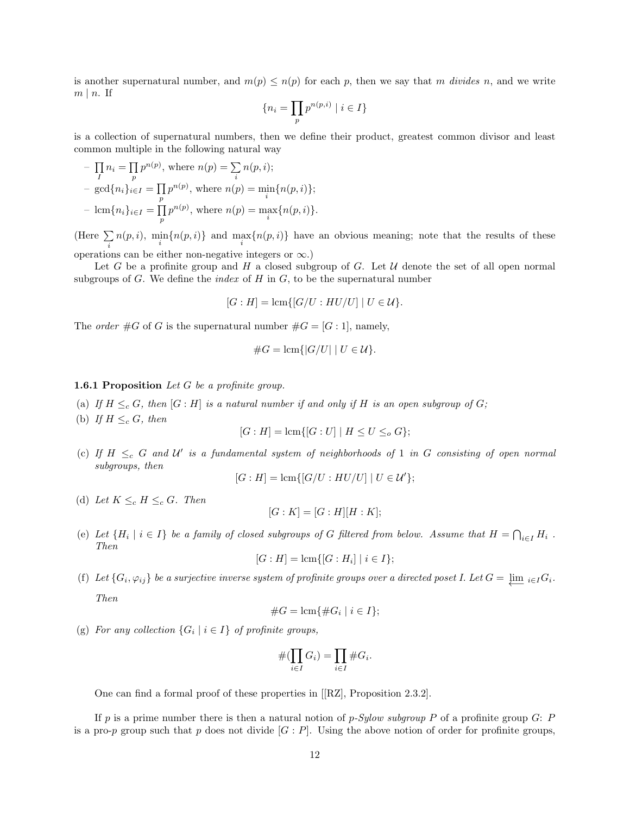is another supernatural number, and  $m(p) \leq n(p)$  for each p, then we say that m divides n, and we write  $m \mid n$ . If

$$
\{n_i = \prod_p p^{n(p,i)} \mid i \in I\}
$$

is a collection of supernatural numbers, then we define their product, greatest common divisor and least common multiple in the following natural way

$$
-\prod_{I} n_i = \prod_{p} p^{n(p)}, \text{ where } n(p) = \sum_{i} n(p, i);
$$
  
- 
$$
\gcd\{n_i\}_{i \in I} = \prod_{p} p^{n(p)}, \text{ where } n(p) = \min_{i} \{n(p, i)\};
$$
  
- 
$$
\operatorname{lcm}\{n_i\}_{i \in I} = \prod_{p} p^{n(p)}, \text{ where } n(p) = \max_{i} \{n(p, i)\}.
$$

(Here  $\Sigma$ i  $n(p, i)$ ,  $\min_i \{n(p, i)\}\$  and  $\max_i \{n(p, i)\}\$  have an obvious meaning; note that the results of these operations can be either non-negative integers or  $\infty$ .)

Let G be a profinite group and H a closed subgroup of G. Let  $U$  denote the set of all open normal subgroups of G. We define the *index* of H in G, to be the supernatural number

$$
[G: H] = \operatorname{lcm}\{[G/U:HU/U] \mid U \in \mathcal{U}\}.
$$

The *order*  $#G$  of G is the supernatural number  $#G = [G:1]$ , namely,

#G = lcm{|G/U| | U ∈ U}.

### **1.6.1 Proposition** Let  $G$  be a profinite group.

- (a) If  $H \leq_c G$ , then  $[G:H]$  is a natural number if and only if H is an open subgroup of G;
- (b) If  $H \leq_c G$ , then

$$
[G : H] = \text{lcm}\{[G : U] \mid H \le U \le_o G\};
$$

(c) If  $H \leq_c G$  and U' is a fundamental system of neighborhoods of 1 in G consisting of open normal subgroups, then

$$
[G:H] = \operatorname{lcm}\{[G/U:HU/U] \mid U \in \mathcal{U}'\};
$$

(d) Let  $K \leq_c H \leq_c G$ . Then

$$
[G:K] = [G:H][H:K];
$$

(e) Let  $\{H_i \mid i \in I\}$  be a family of closed subgroups of G filtered from below. Assume that  $H = \bigcap_{i \in I} H_i$ . Then

$$
[G : H] = \text{lcm}\{[G : H_i] \mid i \in I\};
$$

(f) Let  $\{G_i, \varphi_{ij}\}$  be a surjective inverse system of profinite groups over a directed poset I. Let  $G = \varprojlim_{i \in I} G_i$ . Then

#G = lcm{#G<sup>i</sup> | i ∈ I};

(g) For any collection  $\{G_i \mid i \in I\}$  of profinite groups,

$$
\#(\prod_{i\in I} G_i) = \prod_{i\in I} \#G_i.
$$

One can find a formal proof of these properties in [[RZ], Proposition 2.3.2].

If p is a prime number there is then a natural notion of p-Sylow subgroup P of a profinite group  $G: P$ is a pro-p group such that p does not divide  $[G : P]$ . Using the above notion of order for profinite groups,